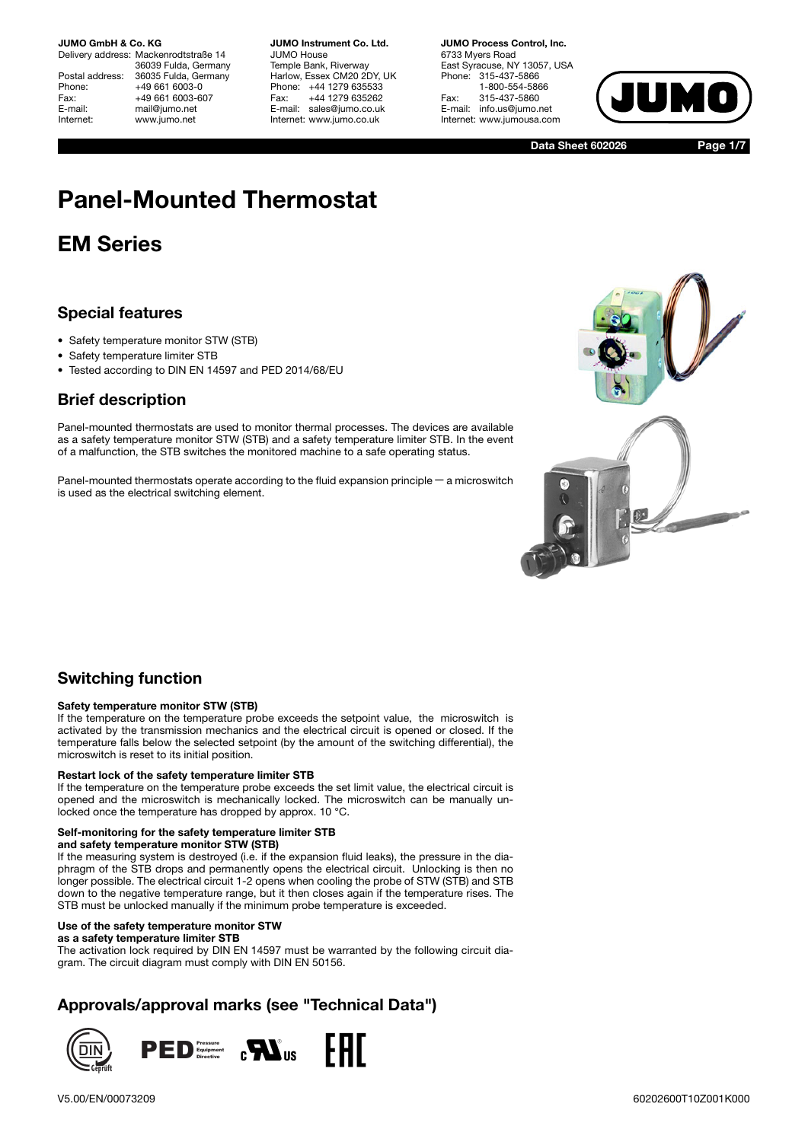Delivery address: Mackenrodtstraße 14 36039 Fulda, Germany Postal address: 36035 Fulda, Germany<br>Phone: +49 661 6003-0 +49 661 6003-0 Fax: +49 661 6003-607<br>F-mail: mail@iumo.net mail@jumo.net Internet: www.jumo.net

**JUMO Instrument Co. Ltd.** JUMO House Temple Bank, Riverway Harlow, Essex CM20 2DY, UK Phone: +44 1279 635533 Fax: +44 1279 635262 E-mail: sales@jumo.co.uk Internet: www.jumo.co.uk

**JUMO Process Control, Inc.** 6733 Myers Road East Syracuse, NY 13057, USA Phone: 315-437-5866 1-800-554-5866 Fax: 315-437-5860 E-mail: info.us@jumo.net Internet: www.jumousa.com



**Data Sheet 602026**

**Page 1/7**

# **Panel-Mounted Thermostat**

# **EM Series**

## **Special features**

- Safety temperature monitor STW (STB)
- Safety temperature limiter STB
- Tested according to DIN EN 14597 and PED 2014/68/EU

## **Brief description**

Panel-mounted thermostats are used to monitor thermal processes. The devices are available as a safety temperature monitor STW (STB) and a safety temperature limiter STB. In the event of a malfunction, the STB switches the monitored machine to a safe operating status.

Panel-mounted thermostats operate according to the fluid expansion principle − a microswitch is used as the electrical switching element.



## **Switching function**

#### **Safety temperature monitor STW (STB)**

If the temperature on the temperature probe exceeds the setpoint value, the microswitch is activated by the transmission mechanics and the electrical circuit is opened or closed. If the temperature falls below the selected setpoint (by the amount of the switching differential), the microswitch is reset to its initial position.

#### **Restart lock of the safety temperature limiter STB**

If the temperature on the temperature probe exceeds the set limit value, the electrical circuit is opened and the microswitch is mechanically locked. The microswitch can be manually unlocked once the temperature has dropped by approx. 10 °C.

## **Self-monitoring for the safety temperature limiter STB**

### **and safety temperature monitor STW (STB)**

If the measuring system is destroyed (i.e. if the expansion fluid leaks), the pressure in the diaphragm of the STB drops and permanently opens the electrical circuit. Unlocking is then no longer possible. The electrical circuit 1-2 opens when cooling the probe of STW (STB) and STB down to the negative temperature range, but it then closes again if the temperature rises. The STB must be unlocked manually if the minimum probe temperature is exceeded.

### **Use of the safety temperature monitor STW**

**as a safety temperature limiter STB** The activation lock required by DIN EN 14597 must be warranted by the following circuit diagram. The circuit diagram must comply with DIN EN 50156.

## **Approvals/approval marks (see "Technical Data")**

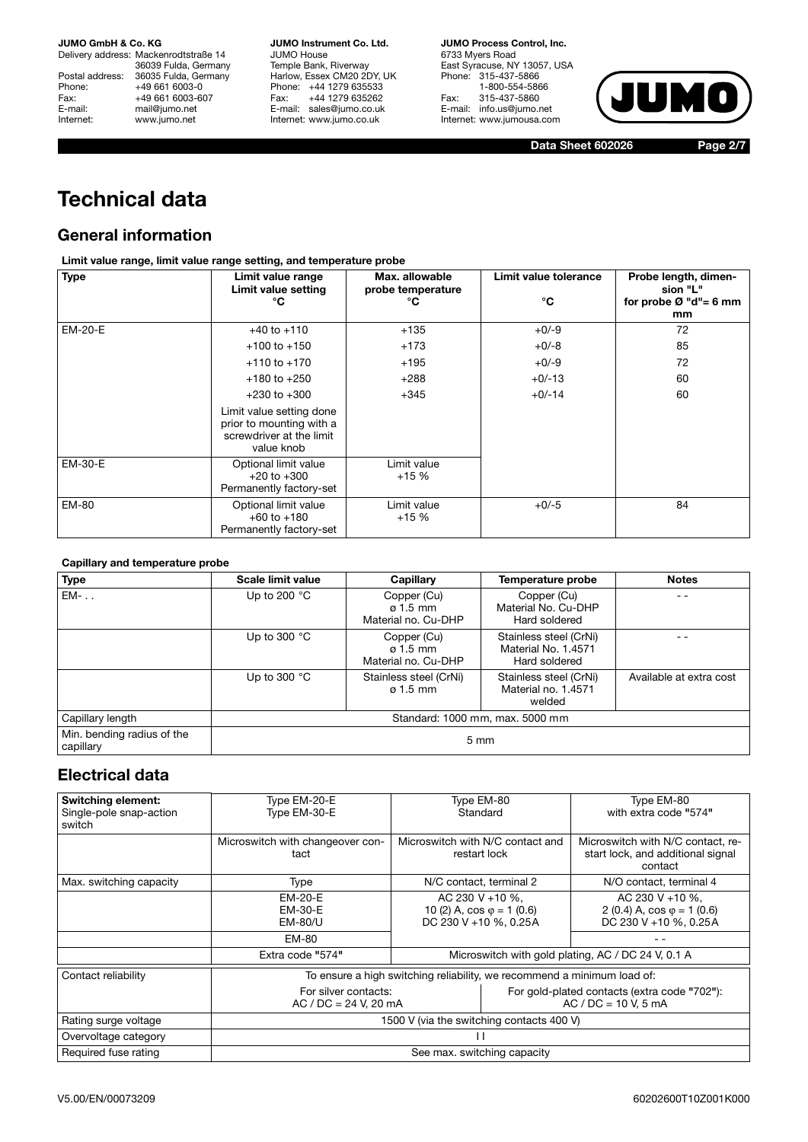Delivery address: Mackenrodtstraße 14 36039 Fulda, Germany Postal address: 36035 Fulda, Germany<br>Phone: +49 661 6003-0 Phone: +49 661 6003-0<br>
Fax: +49 661 6003-6<br>
E-mail: mail@jumo.net +49 661 6003-607 E-mail: mail@jumo.net<br>Internet: www.iumo.net www.jumo.net

**JUMO Instrument Co. Ltd.** JUMO House Temple Bank, Riverway Harlow, Essex CM20 2DY, UK Phone: +44 1279 635533 Fax: +44 1279 635262 E-mail: sales@jumo.co.uk Internet: www.jumo.co.uk

**JUMO Process Control, Inc.** 6733 Myers Road East Syracuse, NY 13057, USA Phone: 315-437-5866 1-800-554-5866 Fax: 315-437-5860 E-mail: info.us@jumo.net Internet: www.jumousa.com



**Data Sheet 602026 Page 2/7**

# **Technical data**

## **General information**

## **Limit value range, limit value range setting, and temperature probe**

| <b>Type</b> | Limit value range<br>Limit value setting<br>°C                                                 | Limit value tolerance<br>Max. allowable<br>probe temperature<br>°C |          | Probe length, dimen-<br>sion "L"<br>for probe $Ø$ "d"= 6 mm<br>mm |  |
|-------------|------------------------------------------------------------------------------------------------|--------------------------------------------------------------------|----------|-------------------------------------------------------------------|--|
| EM-20-E     | $+40$ to $+110$                                                                                | $+135$                                                             | $+0/-9$  | 72                                                                |  |
|             | $+100$ to $+150$                                                                               | $+173$                                                             | $+0/-8$  | 85                                                                |  |
|             | $+110$ to $+170$                                                                               | $+195$                                                             | $+0/-9$  | 72                                                                |  |
|             | $+180$ to $+250$                                                                               | $+288$                                                             | $+0/-13$ | 60                                                                |  |
|             | $+230$ to $+300$                                                                               | $+345$                                                             | $+0/-14$ | 60                                                                |  |
|             | Limit value setting done<br>prior to mounting with a<br>screwdriver at the limit<br>value knob |                                                                    |          |                                                                   |  |
| EM-30-E     | Optional limit value<br>$+20$ to $+300$<br>Permanently factory-set                             | Limit value<br>$+15%$                                              |          |                                                                   |  |
| EM-80       | Optional limit value<br>$+60$ to $+180$<br>Permanently factory-set                             | Limit value<br>$+15%$                                              | $+0/-5$  | 84                                                                |  |

### **Capillary and temperature probe**

| <b>Type</b>                             | Scale limit value               | Capillary                                             | Temperature probe                                              | <b>Notes</b>            |
|-----------------------------------------|---------------------------------|-------------------------------------------------------|----------------------------------------------------------------|-------------------------|
| $EM-$ .                                 | Up to 200 $°C$                  | Copper (Cu)<br>$\sigma$ 1.5 mm<br>Material no. Cu-DHP | Copper (Cu)<br>Material No. Cu-DHP<br>Hard soldered            | - -                     |
|                                         | Up to 300 $^{\circ}$ C          | Copper (Cu)<br>$\sigma$ 1.5 mm<br>Material no. Cu-DHP | Stainless steel (CrNi)<br>Material No. 1.4571<br>Hard soldered |                         |
|                                         | Up to 300 $^{\circ}$ C          | Stainless steel (CrNi)<br>$\varphi$ 1.5 mm            | Stainless steel (CrNi)<br>Material no. 1.4571<br>welded        | Available at extra cost |
| Capillary length                        | Standard: 1000 mm, max. 5000 mm |                                                       |                                                                |                         |
| Min. bending radius of the<br>capillary | $5 \text{ mm}$                  |                                                       |                                                                |                         |

## **Electrical data**

| <b>Switching element:</b><br>Single-pole snap-action<br>switch | Type EM-20-E<br>Type EM-30-E                                                                                           | Type EM-80<br>Standard                                                  | Type EM-80<br>with extra code "574"                                               |  |
|----------------------------------------------------------------|------------------------------------------------------------------------------------------------------------------------|-------------------------------------------------------------------------|-----------------------------------------------------------------------------------|--|
|                                                                | Microswitch with changeover con-<br>tact                                                                               | Microswitch with N/C contact and<br>restart lock                        | Microswitch with N/C contact, re-<br>start lock, and additional signal<br>contact |  |
| Max. switching capacity                                        | Type                                                                                                                   | N/C contact, terminal 2                                                 | N/O contact, terminal 4                                                           |  |
|                                                                | EM-20-E<br>AC 230 V +10 %.<br>10 (2) A, $\cos \varphi = 1$ (0.6)<br>EM-30-E<br>DC 230 V +10 %, 0.25A<br><b>EM-80/U</b> |                                                                         | AC 230 V + 10 %.<br>2 (0.4) A, $\cos \varphi = 1$ (0.6)<br>DC 230 V +10 %, 0.25A  |  |
|                                                                | EM-80                                                                                                                  |                                                                         |                                                                                   |  |
| Extra code "574"                                               |                                                                                                                        | Microswitch with gold plating, AC / DC 24 V, 0.1 A                      |                                                                                   |  |
| Contact reliability                                            |                                                                                                                        | To ensure a high switching reliability, we recommend a minimum load of: |                                                                                   |  |
|                                                                | For silver contacts:<br>$AC / DC = 24 V, 20 mA$                                                                        | For gold-plated contacts (extra code "702"):<br>$AC / DC = 10 V. 5 mA$  |                                                                                   |  |
| Rating surge voltage                                           | 1500 V (via the switching contacts 400 V)                                                                              |                                                                         |                                                                                   |  |
| Overvoltage category                                           |                                                                                                                        |                                                                         |                                                                                   |  |
| Required fuse rating                                           | See max. switching capacity                                                                                            |                                                                         |                                                                                   |  |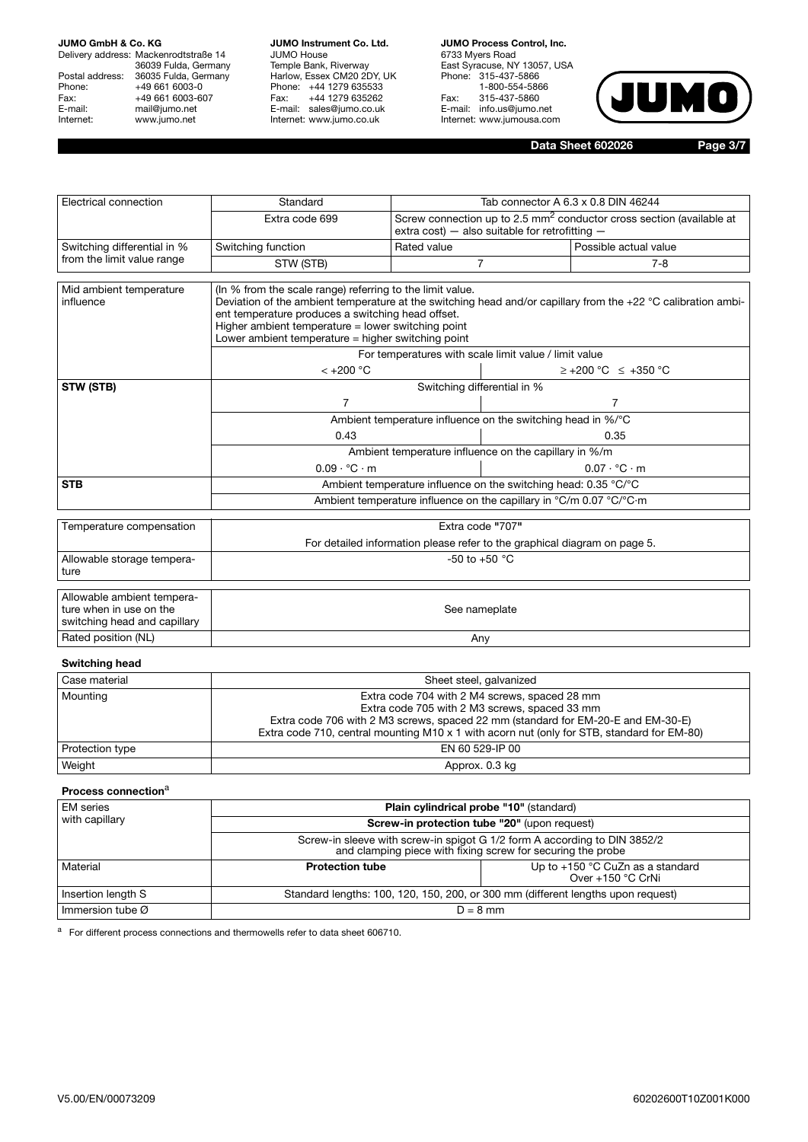Delivery address: Mackenrodtstraße 14 36039 Fulda, Germany Postal address: 36035 Fulda, Germany Phone: +49 661 6003-0<br>
Fax: +49 661 6003-6<br>
E-mail: mail@jumo.net +49 661 6003-607 E-mail: mail@jumo.net<br>Internet: www.iumo.net www.jumo.net

**JUMO Instrument Co. Ltd.** JUMO House Temple Bank, Riverway Harlow, Essex CM20 2DY, UK Phone: +44 1279 635533 Fax: +44 1279 635262 E-mail: sales@jumo.co.uk Internet: www.jumo.co.uk

**JUMO Process Control, Inc.** 6733 Myers Road East Syracuse, NY 13057, USA Phone: 315-437-5866 1-800-554-5866 Fax: 315-437-5860 E-mail: info.us@jumo.net Internet: www.jumousa.com



**Data Sheet 602026 Page 3/7**

| Electrical connection                                                                 | Standard                                                                                                                                                                                                                                                                                                                                      | Tab connector A 6.3 x 0.8 DIN 46244                   |                                                                                                                                    |                                  |  |
|---------------------------------------------------------------------------------------|-----------------------------------------------------------------------------------------------------------------------------------------------------------------------------------------------------------------------------------------------------------------------------------------------------------------------------------------------|-------------------------------------------------------|------------------------------------------------------------------------------------------------------------------------------------|----------------------------------|--|
|                                                                                       | Extra code 699                                                                                                                                                                                                                                                                                                                                |                                                       | Screw connection up to 2.5 mm <sup>2</sup> conductor cross section (available at<br>extra cost) - also suitable for retrofitting - |                                  |  |
| Switching differential in %                                                           | Switching function                                                                                                                                                                                                                                                                                                                            | Rated value                                           |                                                                                                                                    | Possible actual value            |  |
| from the limit value range                                                            | STW (STB)                                                                                                                                                                                                                                                                                                                                     |                                                       | 7                                                                                                                                  | $7 - 8$                          |  |
| Mid ambient temperature<br>influence                                                  | (In % from the scale range) referring to the limit value.<br>Deviation of the ambient temperature at the switching head and/or capillary from the +22 °C calibration ambi-<br>ent temperature produces a switching head offset.<br>Higher ambient temperature $=$ lower switching point<br>Lower ambient temperature = higher switching point |                                                       |                                                                                                                                    |                                  |  |
|                                                                                       | $< +200 °C$                                                                                                                                                                                                                                                                                                                                   | For temperatures with scale limit value / limit value |                                                                                                                                    | $\ge$ +200 °C $\le$ +350 °C      |  |
| STW (STB)                                                                             | Switching differential in %                                                                                                                                                                                                                                                                                                                   |                                                       |                                                                                                                                    |                                  |  |
|                                                                                       | $\overline{7}$                                                                                                                                                                                                                                                                                                                                |                                                       | $\overline{7}$                                                                                                                     |                                  |  |
|                                                                                       | Ambient temperature influence on the switching head in %/°C                                                                                                                                                                                                                                                                                   |                                                       |                                                                                                                                    |                                  |  |
|                                                                                       | 0.43                                                                                                                                                                                                                                                                                                                                          |                                                       |                                                                                                                                    | 0.35                             |  |
|                                                                                       | Ambient temperature influence on the capillary in %/m                                                                                                                                                                                                                                                                                         |                                                       |                                                                                                                                    |                                  |  |
|                                                                                       | $0.09 \cdot {}^{\circ}C \cdot m$                                                                                                                                                                                                                                                                                                              |                                                       |                                                                                                                                    | $0.07 \cdot {}^{\circ}C \cdot m$ |  |
| <b>STB</b>                                                                            | Ambient temperature influence on the switching head: 0.35 °C/°C                                                                                                                                                                                                                                                                               |                                                       |                                                                                                                                    |                                  |  |
|                                                                                       | Ambient temperature influence on the capillary in °C/m 0.07 °C/°C·m                                                                                                                                                                                                                                                                           |                                                       |                                                                                                                                    |                                  |  |
| Temperature compensation                                                              |                                                                                                                                                                                                                                                                                                                                               | Extra code "707"                                      |                                                                                                                                    |                                  |  |
|                                                                                       | For detailed information please refer to the graphical diagram on page 5.                                                                                                                                                                                                                                                                     |                                                       |                                                                                                                                    |                                  |  |
| Allowable storage tempera-<br>ture                                                    | -50 to +50 $^{\circ}$ C                                                                                                                                                                                                                                                                                                                       |                                                       |                                                                                                                                    |                                  |  |
| Allowable ambient tempera-<br>ture when in use on the<br>switching head and capillary | See nameplate                                                                                                                                                                                                                                                                                                                                 |                                                       |                                                                                                                                    |                                  |  |
| Rated position (NL)                                                                   |                                                                                                                                                                                                                                                                                                                                               | Any                                                   |                                                                                                                                    |                                  |  |
|                                                                                       |                                                                                                                                                                                                                                                                                                                                               |                                                       |                                                                                                                                    |                                  |  |

## **Switching head**

| Case material   | Sheet steel, galvanized                                                                    |
|-----------------|--------------------------------------------------------------------------------------------|
| Mounting        | Extra code 704 with 2 M4 screws, spaced 28 mm                                              |
|                 | Extra code 705 with 2 M3 screws, spaced 33 mm                                              |
|                 | Extra code 706 with 2 M3 screws, spaced 22 mm (standard for EM-20-E and EM-30-E)           |
|                 | Extra code 710, central mounting M10 x 1 with acorn nut (only for STB, standard for EM-80) |
| Protection type | EN 60 529-IP 00                                                                            |
| Weight          | Approx. 0.3 kg                                                                             |

#### **Process connection**<sup>a</sup>

| <b>EM</b> series             | Plain cylindrical probe "10" (standard)                                                                                                  |                                                       |  |
|------------------------------|------------------------------------------------------------------------------------------------------------------------------------------|-------------------------------------------------------|--|
| with capillary               | <b>Screw-in protection tube "20" (upon request)</b>                                                                                      |                                                       |  |
|                              | Screw-in sleeve with screw-in spigot G 1/2 form A according to DIN 3852/2<br>and clamping piece with fixing screw for securing the probe |                                                       |  |
| Material                     | <b>Protection tube</b>                                                                                                                   | Up to +150 °C CuZn as a standard<br>Over +150 °C CrNi |  |
| Insertion length S           | Standard lengths: 100, 120, 150, 200, or 300 mm (different lengths upon request)                                                         |                                                       |  |
| Immersion tube $\varnothing$ | $D = 8$ mm                                                                                                                               |                                                       |  |

a For different process connections and thermowells refer to data sheet 606710.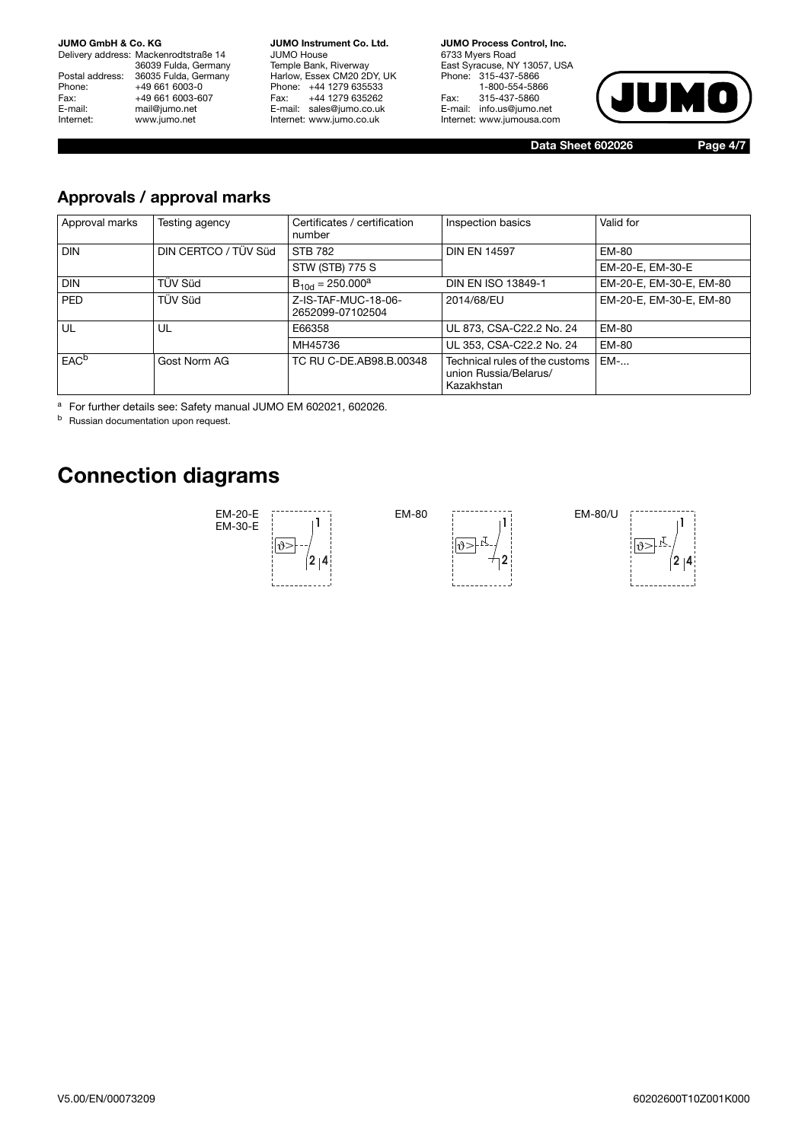Delivery address: Mackenrodtstraße 14 36039 Fulda, Germany Postal address: 36035 Fulda, Germany<br>Phone: +49 661 6003-0 Phone: +49 661 6003-0<br>Fax: +49 661 6003-60 Fax: +49 661 6003-607<br>E-mail: mail@jumo.net E-mail: mail@jumo.net<br>
Internet: www.iumo.net www.jumo.net

**JUMO Instrument Co. Ltd.** JUMO House Temple Bank, Riverway Harlow, Essex CM20 2DY, UK Phone: +44 1279 635533<br>Fax: +44 1279 635262 +44 1279 635262 E-mail: sales@jumo.co.uk Internet: www.jumo.co.uk

**JUMO Process Control, Inc.** 6733 Myers Road East Syracuse, NY 13057, USA Phone: 315-437-5866 1-800-554-5866 Fax: 315-437-5860 E-mail: info.us@jumo.net Internet: www.jumousa.com



**Data Sheet 602026 Page 4/7**

## **Approvals / approval marks**

| Approval marks   | Testing agency       | Certificates / certification<br>number  | Inspection basics                                                     | Valid for               |
|------------------|----------------------|-----------------------------------------|-----------------------------------------------------------------------|-------------------------|
| <b>DIN</b>       | DIN CERTCO / TÜV Süd | <b>STB 782</b>                          | <b>DIN EN 14597</b>                                                   | EM-80                   |
|                  |                      | STW (STB) 775 S                         |                                                                       | EM-20-E, EM-30-E        |
| <b>DIN</b>       | TÜV Süd              | $B_{10d} = 250.000^a$                   | DIN EN ISO 13849-1                                                    | EM-20-E, EM-30-E, EM-80 |
| <b>PED</b>       | TÜV Süd              | Z-IS-TAF-MUC-18-06-<br>2652099-07102504 | 2014/68/EU                                                            | EM-20-E, EM-30-E, EM-80 |
| UL               | UL                   | E66358                                  | UL 873, CSA-C22.2 No. 24                                              | EM-80                   |
|                  |                      | MH45736                                 | UL 353, CSA-C22.2 No. 24                                              | <b>EM-80</b>            |
| EAC <sup>b</sup> | Gost Norm AG         | TC RU C-DE.AB98.B.00348                 | Technical rules of the customs<br>union Russia/Belarus/<br>Kazakhstan | $EM$ -                  |

<sup>a</sup> For further details see: Safety manual JUMO EM 602021, 602026.

**b** Russian documentation upon request.

# **Connection diagrams**





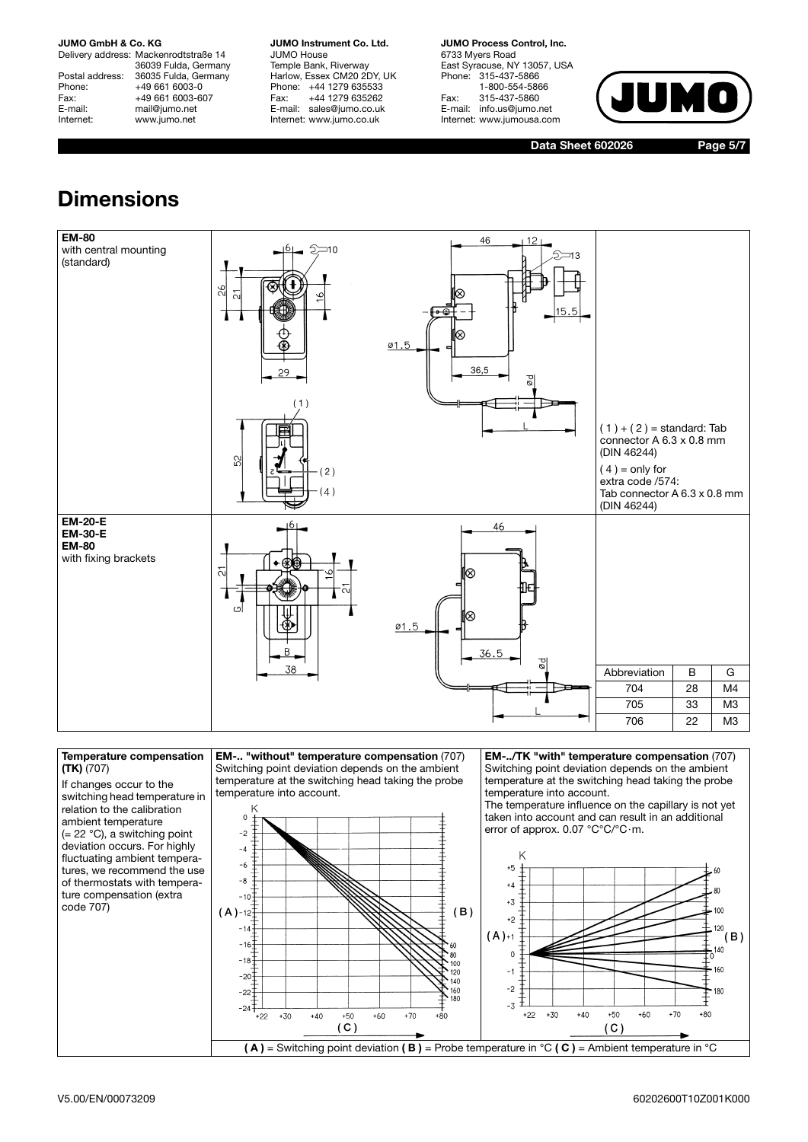Internet: www.jumo.net

Delivery address: Mackenrodtstraße 14 36039 Fulda, Germany Postal address: 36035 Fulda, Germany<br>Phone: +49 661 6003-0 Phone: +49 661 6003-0<br>Fax: +49 661 6003-6 Fax: +49 661 6003-607<br>E-mail: mail@iumo.net mail@jumo.net

**JUMO Instrument Co. Ltd.** JUMO House Temple Bank, Riverway Harlow, Essex CM20 2DY, UK Phone: +44 1279 635533<br>Fax: +44 1279 635262 +44 1279 635262 E-mail: sales@jumo.co.uk Internet: www.jumo.co.uk

**JUMO Process Control, Inc.** 6733 Myers Road East Syracuse, NY 13057, USA Phone: 315-437-5866 1-800-554-5866 Fax: 315-437-5860 E-mail: info.us@jumo.net Internet: www.jumousa.com



**Data Sheet 602026 Page 5/7**

# **Dimensions**



#### **Temperature compensation (TK)** (707)

If changes occur to the switching head temperature in relation to the calibration ambient temperature (= 22 °C), a switching point deviation occurs. For highly fluctuating ambient temperatures, we recommend the use of thermostats with temperature compensation (extra code 707)

**EM-.. "without" temperature compensation** (707) Switching point deviation depends on the ambient temperature at the switching head taking the probe temperature into account.



**EM-../TK "with" temperature compensation** (707) Switching point deviation depends on the ambient temperature at the switching head taking the probe temperature into account.

The temperature influence on the capillary is not yet taken into account and can result in an additional error of approx. 0.07 °C°C/°C·m.

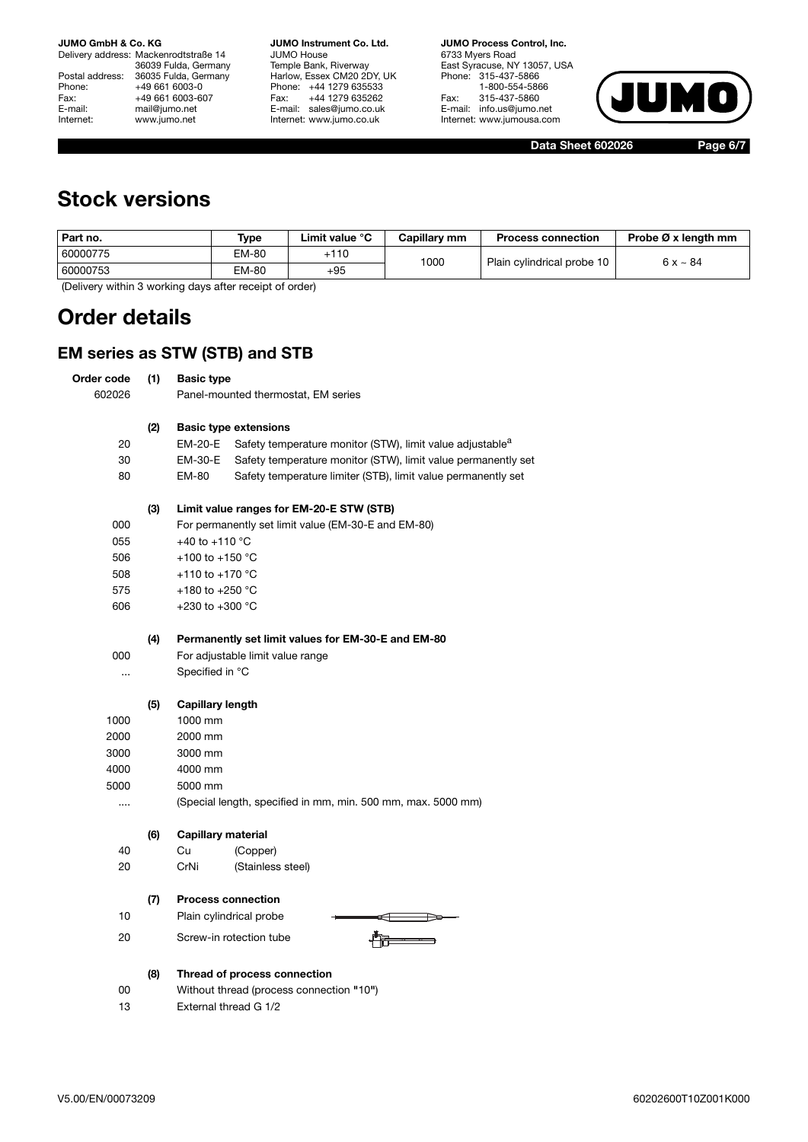Delivery address: Mackenrodtstraße 14 36039 Fulda, Germany Postal address: 36035 Fulda, Germany Phone: +49 661 6003-0<br>Fax: +49 661 6003-60 Fax: +49 661 6003-607<br>E-mail: mail@jumo.net E-mail: mail@jumo.net<br>
Internet: www.iumo.net www.jumo.net

**JUMO Instrument Co. Ltd.** JUMO House Temple Bank, Riverway Harlow, Essex CM20 2DY, UK Phone: +44 1279 635533<br>Fax: +44 1279 635262 +44 1279 635262 E-mail: sales@jumo.co.uk Internet: www.jumo.co.uk

**JUMO Process Control, Inc.** 6733 Myers Road East Syracuse, NY 13057, USA Phone: 315-437-5866 1-800-554-5866 Fax: 315-437-5860 E-mail: info.us@jumo.net Internet: www.jumousa.com



**Data Sheet 602026 Page 6/7**

## **Stock versions**

| Part no. | Type  | Limit value °C | Capillary mm | <b>Process connection</b>  | Probe Ø x length mm |
|----------|-------|----------------|--------------|----------------------------|---------------------|
| 60000775 | EM-80 | $+110$         | 1000         | Plain cylindrical probe 10 | $6x - 84$           |
| 60000753 | EM-80 | $+95$          |              |                            |                     |

(Delivery within 3 working days after receipt of order)

## **Order details**

## **EM series as STW (STB) and STB**

|            |     | VI SENES AS STIVI (STD) ANU STD                                                  |
|------------|-----|----------------------------------------------------------------------------------|
| Order code | (1) | <b>Basic type</b>                                                                |
| 602026     |     | Panel-mounted thermostat, EM series                                              |
|            |     |                                                                                  |
|            | (2) | <b>Basic type extensions</b>                                                     |
| 20         |     | Safety temperature monitor (STW), limit value adjustable <sup>a</sup><br>EM-20-E |
| 30         |     | Safety temperature monitor (STW), limit value permanently set<br>EM-30-E         |
| 80         |     | EM-80<br>Safety temperature limiter (STB), limit value permanently set           |
|            | (3) | Limit value ranges for EM-20-E STW (STB)                                         |
| 000        |     | For permanently set limit value (EM-30-E and EM-80)                              |
| 055        |     | +40 to +110 $^{\circ}$ C                                                         |
| 506        |     | +100 to +150 $^{\circ}$ C                                                        |
| 508        |     | +110 to +170 $^{\circ}$ C                                                        |
| 575        |     | +180 to +250 $^{\circ}$ C                                                        |
| 606        |     | +230 to +300 $^{\circ}$ C                                                        |
|            | (4) | Permanently set limit values for EM-30-E and EM-80                               |
| 000        |     | For adjustable limit value range                                                 |
|            |     | Specified in °C                                                                  |
|            | (5) | <b>Capillary length</b>                                                          |
| 1000       |     | 1000 mm                                                                          |
| 2000       |     | 2000 mm                                                                          |
| 3000       |     | 3000 mm                                                                          |
| 4000       |     | 4000 mm                                                                          |
| 5000       |     | 5000 mm                                                                          |
|            |     | (Special length, specified in mm, min. 500 mm, max. 5000 mm)                     |
|            | (6) | <b>Capillary material</b>                                                        |
| 40         |     | (Copper)<br>Cu                                                                   |
| 20         |     | CrNi<br>(Stainless steel)                                                        |
|            | (7) | <b>Process connection</b>                                                        |
| 10         |     | Plain cylindrical probe                                                          |
| 20         |     | Screw-in rotection tube                                                          |
|            |     |                                                                                  |
|            | (8) | Thread of process connection                                                     |
| 00         |     | Without thread (process connection "10")                                         |
| 13         |     | External thread G 1/2                                                            |